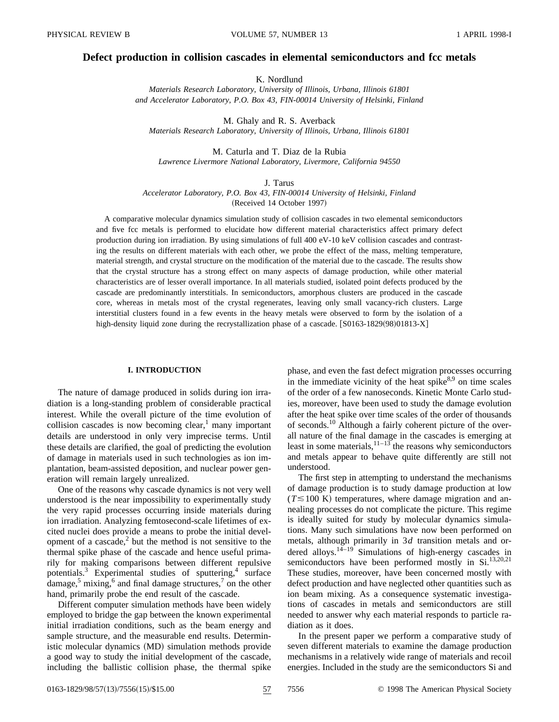# **Defect production in collision cascades in elemental semiconductors and fcc metals**

K. Nordlund

*Materials Research Laboratory, University of Illinois, Urbana, Illinois 61801 and Accelerator Laboratory, P.O. Box 43, FIN-00014 University of Helsinki, Finland*

M. Ghaly and R. S. Averback *Materials Research Laboratory, University of Illinois, Urbana, Illinois 61801*

M. Caturla and T. Diaz de la Rubia *Lawrence Livermore National Laboratory, Livermore, California 94550*

J. Tarus *Accelerator Laboratory, P.O. Box 43, FIN-00014 University of Helsinki, Finland* (Received 14 October 1997)

A comparative molecular dynamics simulation study of collision cascades in two elemental semiconductors and five fcc metals is performed to elucidate how different material characteristics affect primary defect production during ion irradiation. By using simulations of full 400 eV-10 keV collision cascades and contrasting the results on different materials with each other, we probe the effect of the mass, melting temperature, material strength, and crystal structure on the modification of the material due to the cascade. The results show that the crystal structure has a strong effect on many aspects of damage production, while other material characteristics are of lesser overall importance. In all materials studied, isolated point defects produced by the cascade are predominantly interstitials. In semiconductors, amorphous clusters are produced in the cascade core, whereas in metals most of the crystal regenerates, leaving only small vacancy-rich clusters. Large interstitial clusters found in a few events in the heavy metals were observed to form by the isolation of a high-density liquid zone during the recrystallization phase of a cascade.  $[$0163-1829(98)01813-X]$ 

### **I. INTRODUCTION**

The nature of damage produced in solids during ion irradiation is a long-standing problem of considerable practical interest. While the overall picture of the time evolution of collision cascades is now becoming clear, $\frac{1}{1}$  many important details are understood in only very imprecise terms. Until these details are clarified, the goal of predicting the evolution of damage in materials used in such technologies as ion implantation, beam-assisted deposition, and nuclear power generation will remain largely unrealized.

One of the reasons why cascade dynamics is not very well understood is the near impossibility to experimentally study the very rapid processes occurring inside materials during ion irradiation. Analyzing femtosecond-scale lifetimes of excited nuclei does provide a means to probe the initial development of a cascade, $2$  but the method is not sensitive to the thermal spike phase of the cascade and hence useful primarily for making comparisons between different repulsive potentials.<sup>3</sup> Experimental studies of sputtering,<sup>4</sup> surface damage,<sup>5</sup> mixing,<sup>6</sup> and final damage structures,<sup>7</sup> on the other hand, primarily probe the end result of the cascade.

Different computer simulation methods have been widely employed to bridge the gap between the known experimental initial irradiation conditions, such as the beam energy and sample structure, and the measurable end results. Deterministic molecular dynamics (MD) simulation methods provide a good way to study the initial development of the cascade, including the ballistic collision phase, the thermal spike phase, and even the fast defect migration processes occurring in the immediate vicinity of the heat spike $8.9$  on time scales of the order of a few nanoseconds. Kinetic Monte Carlo studies, moreover, have been used to study the damage evolution after the heat spike over time scales of the order of thousands of seconds.10 Although a fairly coherent picture of the overall nature of the final damage in the cascades is emerging at least in some materials,  $1^{1-13}$  the reasons why semiconductors and metals appear to behave quite differently are still not understood.

The first step in attempting to understand the mechanisms of damage production is to study damage production at low  $(T \le 100 \text{ K})$  temperatures, where damage migration and annealing processes do not complicate the picture. This regime is ideally suited for study by molecular dynamics simulations. Many such simulations have now been performed on metals, although primarily in 3*d* transition metals and ordered alloys.<sup>14–19</sup> Simulations of high-energy cascades in semiconductors have been performed mostly in Si.<sup>13,20,21</sup> These studies, moreover, have been concerned mostly with defect production and have neglected other quantities such as ion beam mixing. As a consequence systematic investigations of cascades in metals and semiconductors are still needed to answer why each material responds to particle radiation as it does.

In the present paper we perform a comparative study of seven different materials to examine the damage production mechanisms in a relatively wide range of materials and recoil energies. Included in the study are the semiconductors Si and

0163-1829/98/57(13)/7556(15)/\$15.00 57 7556 © 1998 The American Physical Society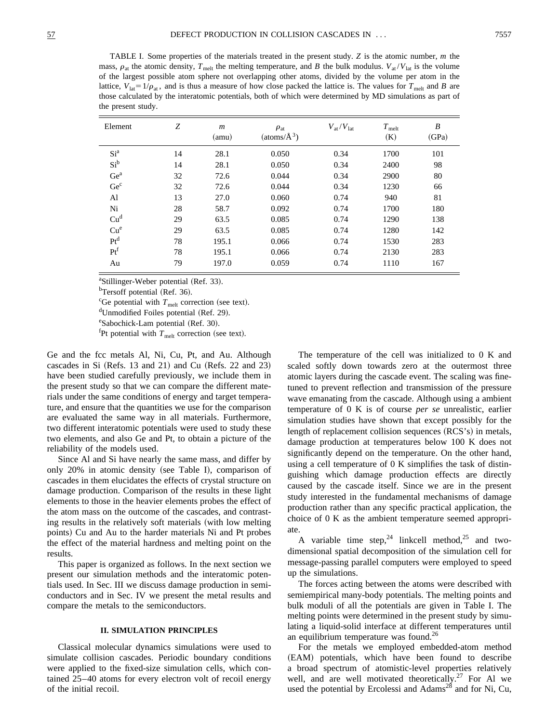TABLE I. Some properties of the materials treated in the present study. *Z* is the atomic number, *m* the mass,  $\rho_{\text{at}}$  the atomic density,  $T_{\text{melt}}$  the melting temperature, and *B* the bulk modulus.  $V_{\text{at}}/V_{\text{lat}}$  is the volume of the largest possible atom sphere not overlapping other atoms, divided by the volume per atom in the lattice,  $V_{\text{lat}} = 1/\rho_{\text{at}}$ , and is thus a measure of how close packed the lattice is. The values for  $T_{\text{melt}}$  and *B* are those calculated by the interatomic potentials, both of which were determined by MD simulations as part of the present study.

| Element         | Ζ  | $\boldsymbol{m}$<br>(amu) | $\rho_{\rm at}$<br>$(atoms/\AA^3)$ | $V_{\text{at}}/V_{\text{lat}}$ | $T_{\text{melt}}$<br>(K) | B<br>(GPa) |
|-----------------|----|---------------------------|------------------------------------|--------------------------------|--------------------------|------------|
| Si <sup>a</sup> | 14 | 28.1                      | 0.050                              | 0.34                           | 1700                     | 101        |
| Si <sup>b</sup> | 14 | 28.1                      | 0.050                              | 0.34                           | 2400                     | 98         |
| $Ge^a$          | 32 | 72.6                      | 0.044                              | 0.34                           | 2900                     | 80         |
| $Ge^c$          | 32 | 72.6                      | 0.044                              | 0.34                           | 1230                     | 66         |
| Al              | 13 | 27.0                      | 0.060                              | 0.74                           | 940                      | 81         |
| Ni              | 28 | 58.7                      | 0.092                              | 0.74                           | 1700                     | 180        |
| Cu <sup>d</sup> | 29 | 63.5                      | 0.085                              | 0.74                           | 1290                     | 138        |
| Cu <sup>e</sup> | 29 | 63.5                      | 0.085                              | 0.74                           | 1280                     | 142        |
| $Pt^{d}$        | 78 | 195.1                     | 0.066                              | 0.74                           | 1530                     | 283        |
| Pt <sup>f</sup> | 78 | 195.1                     | 0.066                              | 0.74                           | 2130                     | 283        |
| Au              | 79 | 197.0                     | 0.059                              | 0.74                           | 1110                     | 167        |

<sup>a</sup>Stillinger-Weber potential (Ref. 33).

<sup>b</sup>Tersoff potential (Ref. 36).

<sup>c</sup>Ge potential with  $T_{\text{melt}}$  correction (see text).

 $d$ Unmodified Foiles potential (Ref. 29).

eSabochick-Lam potential (Ref. 30).

<sup>f</sup>Pt potential with  $T_{\text{melt}}$  correction (see text).

Ge and the fcc metals Al, Ni, Cu, Pt, and Au. Although cascades in Si  $(Refs. 13$  and 21) and Cu  $(Refs. 22$  and 23) have been studied carefully previously, we include them in the present study so that we can compare the different materials under the same conditions of energy and target temperature, and ensure that the quantities we use for the comparison are evaluated the same way in all materials. Furthermore, two different interatomic potentials were used to study these two elements, and also Ge and Pt, to obtain a picture of the reliability of the models used.

Since Al and Si have nearly the same mass, and differ by only  $20\%$  in atomic density (see Table I), comparison of cascades in them elucidates the effects of crystal structure on damage production. Comparison of the results in these light elements to those in the heavier elements probes the effect of the atom mass on the outcome of the cascades, and contrasting results in the relatively soft materials (with low melting points) Cu and Au to the harder materials Ni and Pt probes the effect of the material hardness and melting point on the results.

This paper is organized as follows. In the next section we present our simulation methods and the interatomic potentials used. In Sec. III we discuss damage production in semiconductors and in Sec. IV we present the metal results and compare the metals to the semiconductors.

## **II. SIMULATION PRINCIPLES**

Classical molecular dynamics simulations were used to simulate collision cascades. Periodic boundary conditions were applied to the fixed-size simulation cells, which contained 25–40 atoms for every electron volt of recoil energy of the initial recoil.

The temperature of the cell was initialized to 0 K and scaled softly down towards zero at the outermost three atomic layers during the cascade event. The scaling was finetuned to prevent reflection and transmission of the pressure wave emanating from the cascade. Although using a ambient temperature of 0 K is of course *per se* unrealistic, earlier simulation studies have shown that except possibly for the length of replacement collision sequences (RCS's) in metals, damage production at temperatures below 100 K does not significantly depend on the temperature. On the other hand, using a cell temperature of 0 K simplifies the task of distinguishing which damage production effects are directly caused by the cascade itself. Since we are in the present study interested in the fundamental mechanisms of damage production rather than any specific practical application, the choice of 0 K as the ambient temperature seemed appropriate.

A variable time step,<sup>24</sup> linkcell method,<sup>25</sup> and twodimensional spatial decomposition of the simulation cell for message-passing parallel computers were employed to speed up the simulations.

The forces acting between the atoms were described with semiempirical many-body potentials. The melting points and bulk moduli of all the potentials are given in Table I. The melting points were determined in the present study by simulating a liquid-solid interface at different temperatures until an equilibrium temperature was found.<sup>26</sup>

For the metals we employed embedded-atom method (EAM) potentials, which have been found to describe a broad spectrum of atomistic-level properties relatively well, and are well motivated theoretically.<sup>27</sup> For Al we used the potential by Ercolessi and  $Adams^{28}$  and for Ni, Cu,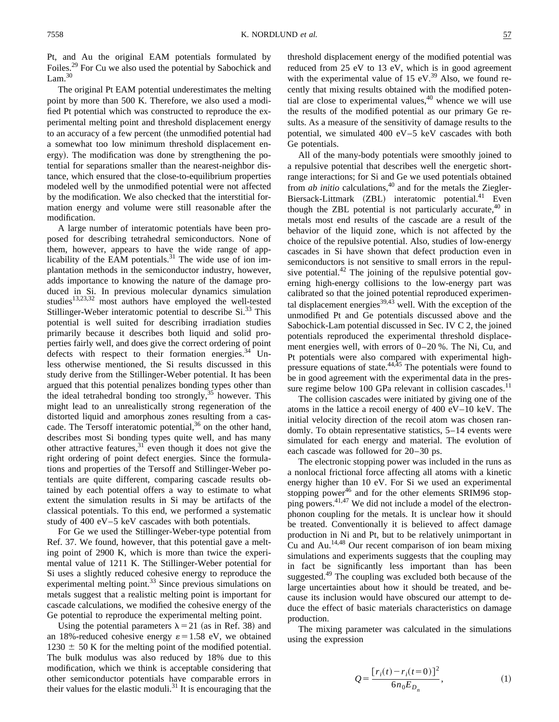Pt, and Au the original EAM potentials formulated by Foiles.<sup>29</sup> For Cu we also used the potential by Sabochick and  $Lam.<sup>30</sup>$ 

The original Pt EAM potential underestimates the melting point by more than 500 K. Therefore, we also used a modified Pt potential which was constructed to reproduce the experimental melting point and threshold displacement energy to an accuracy of a few percent (the unmodified potential had a somewhat too low minimum threshold displacement energy). The modification was done by strengthening the potential for separations smaller than the nearest-neighbor distance, which ensured that the close-to-equilibrium properties modeled well by the unmodified potential were not affected by the modification. We also checked that the interstitial formation energy and volume were still reasonable after the modification.

A large number of interatomic potentials have been proposed for describing tetrahedral semiconductors. None of them, however, appears to have the wide range of applicability of the EAM potentials.<sup>31</sup> The wide use of ion implantation methods in the semiconductor industry, however, adds importance to knowing the nature of the damage produced in Si. In previous molecular dynamics simulation studies<sup>13,23,32</sup> most authors have employed the well-tested Stillinger-Weber interatomic potential to describe Si.<sup>33</sup> This potential is well suited for describing irradiation studies primarily because it describes both liquid and solid properties fairly well, and does give the correct ordering of point defects with respect to their formation energies.<sup>34</sup> Unless otherwise mentioned, the Si results discussed in this study derive from the Stillinger-Weber potential. It has been argued that this potential penalizes bonding types other than the ideal tetrahedral bonding too strongly,  $35$  however. This might lead to an unrealistically strong regeneration of the distorted liquid and amorphous zones resulting from a cascade. The Tersoff interatomic potential,<sup>36</sup> on the other hand, describes most Si bonding types quite well, and has many other attractive features, $31$  even though it does not give the right ordering of point defect energies. Since the formulations and properties of the Tersoff and Stillinger-Weber potentials are quite different, comparing cascade results obtained by each potential offers a way to estimate to what extent the simulation results in Si may be artifacts of the classical potentials. To this end, we performed a systematic study of 400 eV–5 keV cascades with both potentials.

For Ge we used the Stillinger-Weber-type potential from Ref. 37. We found, however, that this potential gave a melting point of 2900 K, which is more than twice the experimental value of 1211 K. The Stillinger-Weber potential for Si uses a slightly reduced cohesive energy to reproduce the experimental melting point.<sup>33</sup> Since previous simulations on metals suggest that a realistic melting point is important for cascade calculations, we modified the cohesive energy of the Ge potential to reproduce the experimental melting point.

Using the potential parameters  $\lambda = 21$  (as in Ref. 38) and an 18%-reduced cohesive energy  $\varepsilon = 1.58$  eV, we obtained  $1230 \pm 50$  K for the melting point of the modified potential. The bulk modulus was also reduced by 18% due to this modification, which we think is acceptable considering that other semiconductor potentials have comparable errors in their values for the elastic moduli.<sup>31</sup> It is encouraging that the threshold displacement energy of the modified potential was reduced from 25 eV to 13 eV, which is in good agreement with the experimental value of 15 eV. $^{39}$  Also, we found recently that mixing results obtained with the modified potential are close to experimental values, $40$  whence we will use the results of the modified potential as our primary Ge results. As a measure of the sensitivity of damage results to the potential, we simulated 400 eV–5 keV cascades with both Ge potentials.

All of the many-body potentials were smoothly joined to a repulsive potential that describes well the energetic shortrange interactions; for Si and Ge we used potentials obtained from *ab initio* calculations,<sup>40</sup> and for the metals the Ziegler-Biersack-Littmark (ZBL) interatomic potential.<sup>41</sup> Even though the ZBL potential is not particularly accurate,  $40$  in metals most end results of the cascade are a result of the behavior of the liquid zone, which is not affected by the choice of the repulsive potential. Also, studies of low-energy cascades in Si have shown that defect production even in semiconductors is not sensitive to small errors in the repulsive potential. $42$  The joining of the repulsive potential governing high-energy collisions to the low-energy part was calibrated so that the joined potential reproduced experimental displacement energies<sup>39,43</sup> well. With the exception of the unmodified Pt and Ge potentials discussed above and the Sabochick-Lam potential discussed in Sec. IV C 2, the joined potentials reproduced the experimental threshold displacement energies well, with errors of 0–20 %. The Ni, Cu, and Pt potentials were also compared with experimental highpressure equations of state. $44,45$  The potentials were found to be in good agreement with the experimental data in the pressure regime below 100 GPa relevant in collision cascades.<sup>11</sup>

The collision cascades were initiated by giving one of the atoms in the lattice a recoil energy of 400 eV–10 keV. The initial velocity direction of the recoil atom was chosen randomly. To obtain representative statistics, 5–14 events were simulated for each energy and material. The evolution of each cascade was followed for 20–30 ps.

The electronic stopping power was included in the runs as a nonlocal frictional force affecting all atoms with a kinetic energy higher than 10 eV. For Si we used an experimental stopping power $^{46}$  and for the other elements SRIM96 stopping powers.  $41,47$  We did not include a model of the electronphonon coupling for the metals. It is unclear how it should be treated. Conventionally it is believed to affect damage production in Ni and Pt, but to be relatively unimportant in Cu and Au.14,48 Our recent comparison of ion beam mixing simulations and experiments suggests that the coupling may in fact be significantly less important than has been suggested.<sup>49</sup> The coupling was excluded both because of the large uncertainties about how it should be treated, and because its inclusion would have obscured our attempt to deduce the effect of basic materials characteristics on damage production.

The mixing parameter was calculated in the simulations using the expression

$$
Q = \frac{[r_i(t) - r_i(t=0)]^2}{6n_0E_{D_n}},
$$
\n(1)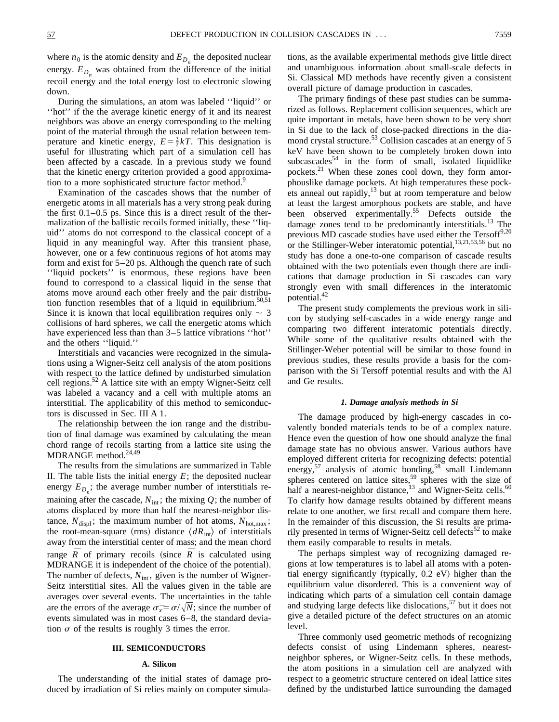where  $n_0$  is the atomic density and  $E_{D_n}$  the deposited nuclear energy.  $E_{D_n}$  was obtained from the difference of the initial recoil energy and the total energy lost to electronic slowing down.

During the simulations, an atom was labeled ''liquid'' or ''hot'' if the the average kinetic energy of it and its nearest neighbors was above an energy corresponding to the melting point of the material through the usual relation between temperature and kinetic energy,  $E = \frac{3}{2}kT$ . This designation is useful for illustrating which part of a simulation cell has been affected by a cascade. In a previous study we found that the kinetic energy criterion provided a good approximation to a more sophisticated structure factor method.<sup>9</sup>

Examination of the cascades shows that the number of energetic atoms in all materials has a very strong peak during the first 0.1–0.5 ps. Since this is a direct result of the thermalization of the ballistic recoils formed initially, these ''liquid'' atoms do not correspond to the classical concept of a liquid in any meaningful way. After this transient phase, however, one or a few continuous regions of hot atoms may form and exist for 5–20 ps. Although the quench rate of such ''liquid pockets'' is enormous, these regions have been found to correspond to a classical liquid in the sense that atoms move around each other freely and the pair distribution function resembles that of a liquid in equilibrium.<sup>50,51</sup> Since it is known that local equilibration requires only  $\sim$  3 collisions of hard spheres, we call the energetic atoms which have experienced less than than 3–5 lattice vibrations "hot" and the others ''liquid.''

Interstitials and vacancies were recognized in the simulations using a Wigner-Seitz cell analysis of the atom positions with respect to the lattice defined by undisturbed simulation cell regions.<sup>52</sup> A lattice site with an empty Wigner-Seitz cell was labeled a vacancy and a cell with multiple atoms an interstitial. The applicability of this method to semiconductors is discussed in Sec. III A 1.

The relationship between the ion range and the distribution of final damage was examined by calculating the mean chord range of recoils starting from a lattice site using the MDRANGE method. $24,49$ 

The results from the simulations are summarized in Table II. The table lists the initial energy  $E$ ; the deposited nuclear energy  $E_{D_n}$ ; the average number number of interstitials remaining after the cascade,  $N_{int}$ ; the mixing  $Q$ ; the number of atoms displaced by more than half the nearest-neighbor distance,  $N_{\text{displ}}$ ; the maximum number of hot atoms,  $N_{\text{hot,max}}$ ; the root-mean-square (rms) distance  $\langle dR_{\text{int}} \rangle$  of interstitials away from the interstitial center of mass; and the mean chord range  $\overline{R}$  of primary recoils (since  $\overline{R}$  is calculated using MDRANGE it is independent of the choice of the potential). The number of defects,  $N_{int}$ , given is the number of Wigner-Seitz interstitial sites. All the values given in the table are averages over several events. The uncertainties in the table are the errors of the average  $\sigma_{\bar{x}} = \sigma / \sqrt{N}$ ; since the number of events simulated was in most cases 6–8, the standard deviation  $\sigma$  of the results is roughly 3 times the error.

# **III. SEMICONDUCTORS**

### **A. Silicon**

The understanding of the initial states of damage produced by irradiation of Si relies mainly on computer simulations, as the available experimental methods give little direct and unambiguous information about small-scale defects in Si. Classical MD methods have recently given a consistent overall picture of damage production in cascades.

The primary findings of these past studies can be summarized as follows. Replacement collision sequences, which are quite important in metals, have been shown to be very short in Si due to the lack of close-packed directions in the diamond crystal structure.<sup>53</sup> Collision cascades at an energy of 5 keV have been shown to be completely broken down into  $subcascades<sup>54</sup>$  in the form of small, isolated liquidlike pockets.<sup>21</sup> When these zones cool down, they form amorphouslike damage pockets. At high temperatures these pockets anneal out rapidly,<sup>13</sup> but at room temperature and below at least the largest amorphous pockets are stable, and have been observed experimentally.<sup>55</sup> Defects outside the damage zones tend to be predominantly interstitials.<sup>13</sup> The previous MD cascade studies have used either the  $Tersoff<sup>9,20</sup>$ or the Stillinger-Weber interatomic potential, $13,21,53,56$  but no study has done a one-to-one comparison of cascade results obtained with the two potentials even though there are indications that damage production in Si cascades can vary strongly even with small differences in the interatomic potential.<sup>42</sup>

The present study complements the previous work in silicon by studying self-cascades in a wide energy range and comparing two different interatomic potentials directly. While some of the qualitative results obtained with the Stillinger-Weber potential will be similar to those found in previous studies, these results provide a basis for the comparison with the Si Tersoff potential results and with the Al and Ge results.

#### *1. Damage analysis methods in Si*

The damage produced by high-energy cascades in covalently bonded materials tends to be of a complex nature. Hence even the question of how one should analyze the final damage state has no obvious answer. Various authors have employed different criteria for recognizing defects: potential energy,<sup>57</sup> analysis of atomic bonding,<sup>58</sup> small Lindemann spheres centered on lattice sites,<sup>59</sup> spheres with the size of half a nearest-neighbor distance,<sup>13</sup> and Wigner-Seitz cells.<sup>60</sup> To clarify how damage results obtained by different means relate to one another, we first recall and compare them here. In the remainder of this discussion, the Si results are primarily presented in terms of Wigner-Seitz cell defects<sup>52</sup> to make them easily comparable to results in metals.

The perhaps simplest way of recognizing damaged regions at low temperatures is to label all atoms with a potential energy significantly (typically,  $0.2$  eV) higher than the equilibrium value disordered. This is a convenient way of indicating which parts of a simulation cell contain damage and studying large defects like dislocations,<sup>57</sup> but it does not give a detailed picture of the defect structures on an atomic level.

Three commonly used geometric methods of recognizing defects consist of using Lindemann spheres, nearestneighbor spheres, or Wigner-Seitz cells. In these methods, the atom positions in a simulation cell are analyzed with respect to a geometric structure centered on ideal lattice sites defined by the undisturbed lattice surrounding the damaged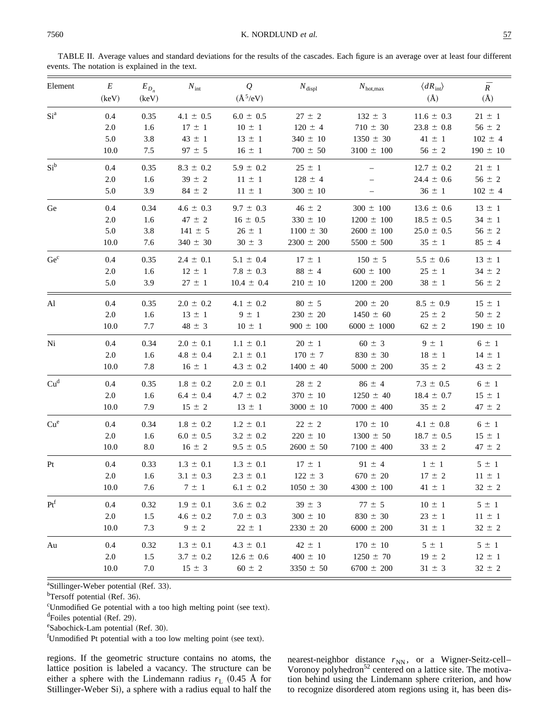TABLE II. Average values and standard deviations for the results of the cascades. Each figure is an average over at least four different events. The notation is explained in the text.

| Element         | $\cal E$<br>(keV) | $E_{D_n}$<br>(keV) | $N_{\rm int}$ | $\mathcal{Q}$<br>$(\text{Å}^5/\text{eV})$ | $N_{\text{displ}}$ | $N_{\text{hot,max}}$ | $\langle dR_{\rm int} \rangle$<br>$(\AA)$ | $\bar{R}$<br>$(\AA)$ |
|-----------------|-------------------|--------------------|---------------|-------------------------------------------|--------------------|----------------------|-------------------------------------------|----------------------|
| Si <sup>a</sup> | 0.4               | 0.35               | $4.1 \pm 0.5$ | $6.0 \pm 0.5$                             | $27 \pm 2$         | $132 \pm 3$          | $11.6 \pm 0.3$                            | $21 \pm 1$           |
|                 | 2.0               | 1.6                | $17 \pm 1$    | $10 \pm 1$                                | $120 \pm 4$        | $710 \pm 30$         | $23.8 \pm 0.8$                            | $56 \pm 2$           |
|                 | 5.0               | 3.8                | $43 \pm 1$    | $13 \pm 1$                                | $340 \pm 10$       | $1350 \pm 30$        | $41 \pm 1$                                | $102 \pm 4$          |
|                 | 10.0              | 7.5                | $97 \pm 5$    | $16 \pm 1$                                | $700 \pm 50$       | $3100 \pm 100$       | $56 \pm 2$                                | $190 \pm 10$         |
| Si <sup>b</sup> | 0.4               | 0.35               | $8.3 \pm 0.2$ | $5.9 \pm 0.2$                             | $25 \pm 1$         |                      | $12.7 \pm 0.2$                            | $21 \pm 1$           |
|                 | 2.0               | 1.6                | $39 \pm 2$    | $11 \pm 1$                                | $128 \pm 4$        |                      | $24.4 \pm 0.6$                            | $56 \pm 2$           |
|                 | 5.0               | 3.9                | $84 \pm 2$    | $11 \pm 1$                                | $300 \pm 10$       |                      | $36 \pm 1$                                | $102 \pm 4$          |
| Ge              | 0.4               | 0.34               | $4.6 \pm 0.3$ | $9.7 \pm 0.3$                             | $46 \pm 2$         | $300 \pm 100$        | $13.6 \pm 0.6$                            | $13 \pm 1$           |
|                 | $2.0\,$           | 1.6                | $47 \pm 2$    | $16 \pm 0.5$                              | $330 \pm 10$       | $1200 \pm 100$       | $18.5 \pm 0.5$                            | $34 \pm 1$           |
|                 | 5.0               | 3.8                | $141 \pm 5$   | $26 \pm 1$                                | $1100 \pm 30$      | $2600 \pm 100$       | $25.0 \pm 0.5$                            | $56 \pm 2$           |
|                 | 10.0              | 7.6                | $340 \pm 30$  | $30 \pm 3$                                | $2300 \pm 200$     | $5500 \pm 500$       | $35 \pm 1$                                | $85 \pm 4$           |
| $Ge^c$          | 0.4               | 0.35               | $2.4 \pm 0.1$ | $5.1 \pm 0.4$                             | $17 \pm 1$         | $150 \pm 5$          | $5.5 \pm 0.6$                             | $13 \pm 1$           |
|                 | 2.0               | 1.6                | $12 \pm 1$    | $7.8 \pm 0.3$                             | $88 \pm 4$         | $600 \pm 100$        | $25 \pm 1$                                | $34 \, \pm \, 2$     |
|                 | 5.0               | 3.9                | $27 \pm 1$    | $10.4 \pm 0.4$                            | $210 \pm 10$       | $1200 \pm 200$       | $38 \pm 1$                                | $56 \pm 2$           |
| $\mathbf{Al}$   | 0.4               | 0.35               | $2.0 \pm 0.2$ | $4.1 \pm 0.2$                             | $80 \pm 5$         | $200 \pm 20$         | $8.5 \pm 0.9$                             | $15 \pm 1$           |
|                 | $2.0\,$           | 1.6                | $13 \pm 1$    | $9 \pm 1$                                 | $230 \pm 20$       | $1450 \pm 60$        | $25 \pm 2$                                | $50 \pm 2$           |
|                 | 10.0              | 7.7                | $48 \pm 3$    | $10 \pm 1$                                | $900 \pm 100$      | $6000 \pm 1000$      | $62 \pm 2$                                | $190 \pm 10$         |
| Ni              | 0.4               | 0.34               | $2.0 \pm 0.1$ | $1.1 \pm 0.1$                             | $20 \pm 1$         | $60 \pm 3$           | $9 \pm 1$                                 | $6 \pm 1$            |
|                 | 2.0               | 1.6                | $4.8 \pm 0.4$ | $2.1 \pm 0.1$                             | $170 \pm 7$        | $830 \pm 30$         | $18 \pm 1$                                | $14 \pm 1$           |
|                 | 10.0              | 7.8                | $16 \pm 1$    | $4.3 \pm 0.2$                             | $1400 \pm 40$      | $5000 \pm 200$       | $35 \pm 2$                                | $43 \pm 2$           |
| Cu <sup>d</sup> | 0.4               | 0.35               | $1.8 \pm 0.2$ | $2.0 \pm 0.1$                             | $28 \pm 2$         | $86 \pm 4$           | $7.3 \pm 0.5$                             | $6 \pm 1$            |
|                 | $2.0\,$           | 1.6                | $6.4 \pm 0.4$ | $4.7 \pm 0.2$                             | $370 \pm 10$       | $1250 \pm 40$        | $18.4 \pm 0.7$                            | $15 \pm 1$           |
|                 | 10.0              | 7.9                | $15 \pm 2$    | $13 \pm 1$                                | $3000 \pm 10$      | $7000 \pm 400$       | $35 \pm 2$                                | $47 \pm 2$           |
| Cu <sup>e</sup> | 0.4               | 0.34               | $1.8 \pm 0.2$ | $1.2 \pm 0.1$                             | $22 \pm 2$         | $170 \pm 10$         | $4.1 \pm 0.8$                             | $6 \pm 1$            |
|                 | 2.0               | 1.6                | $6.0 \pm 0.5$ | $3.2 \pm 0.2$                             | $220 \pm 10$       | $1300 \pm 50$        | $18.7 \pm 0.5$                            | $15 \pm 1$           |
|                 | 10.0              | 8.0                | $16 \pm 2$    | $9.5 \pm 0.5$                             | $2600 \pm 50$      | $7100 \pm 400$       | $33 \pm 2$                                | $47 \pm 2$           |
| Pt              | 0.4               | 0.33               | $1.3 \pm 0.1$ | $1.3 \pm 0.1$                             | $17 \pm 1$         | $91 \pm 4$           | $1 \pm 1$                                 | $5 \pm 1$            |
|                 | $2.0\,$           | 1.6                | $3.1 \pm 0.3$ | $2.3 \pm 0.1$                             | $122 \pm 3$        | $670 \pm 20$         | $17 \pm 2$                                | $11 \pm 1$           |
|                 | 10.0              | 7.6                | $7 \pm 1$     | $6.1 \pm 0.2$                             | $1050 \pm 30$      | $4300 \pm 100$       | $41 \pm 1$                                | $32 \pm 2$           |
| Pt <sup>f</sup> | 0.4               | 0.32               | $1.9 \pm 0.1$ | $3.6 \pm 0.2$                             | $39 \pm 3$         | $77 \pm 5$           | $10 \pm 1$                                | $5 \pm 1$            |
|                 | 2.0               | 1.5                | $4.6 \pm 0.2$ | $7.0 \pm 0.3$                             | $300 \pm 10$       | $830 \pm 30$         | $23 \pm 1$                                | $11 \pm 1$           |
|                 | 10.0              | 7.3                | $9 \pm 2$     | $22 \pm 1$                                | $2330 \pm 20$      | $6000 \pm 200$       | $31 \pm 1$                                | $32 \pm 2$           |
| Au              | 0.4               | 0.32               | $1.3 \pm 0.1$ | $4.3 \pm 0.1$                             | $42 \pm 1$         | $170 \pm 10$         | $5 \pm 1$                                 | $5 \pm 1$            |
|                 | 2.0               | 1.5                | $3.7 \pm 0.2$ | $12.6 \pm 0.6$                            | $400 \pm 10$       | $1250 \pm 70$        | $19 \pm 2$                                | $12 \pm 1$           |
|                 | 10.0              | $7.0\,$            | $15 \pm 3$    | $60 \pm 2$                                | $3350 \pm 50$      | $6700 \pm 200$       | $31 \pm 3$                                | $32 \pm 2$           |

<sup>a</sup>Stillinger-Weber potential (Ref. 33).

<sup>b</sup>Tersoff potential (Ref. 36).

<sup>c</sup>Unmodified Ge potential with a too high melting point (see text).

<sup>d</sup>Foiles potential (Ref. 29).

eSabochick-Lam potential (Ref. 30).

<sup>f</sup>Unmodified Pt potential with a too low melting point (see text).

regions. If the geometric structure contains no atoms, the lattice position is labeled a vacancy. The structure can be either a sphere with the Lindemann radius  $r_L$  (0.45 Å for Stillinger-Weber Si), a sphere with a radius equal to half the

nearest-neighbor distance  $r_{NN}$ , or a Wigner-Seitz-cell– Voronoy polyhedron<sup>52</sup> centered on a lattice site. The motivation behind using the Lindemann sphere criterion, and how to recognize disordered atom regions using it, has been dis-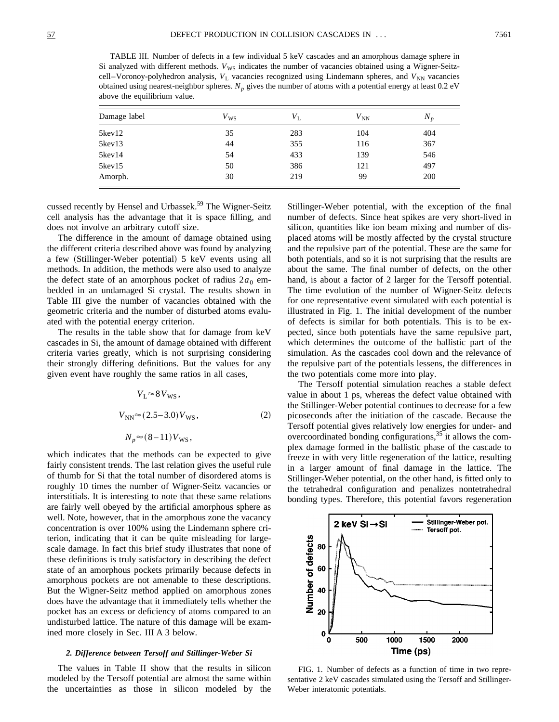TABLE III. Number of defects in a few individual 5 keV cascades and an amorphous damage sphere in Si analyzed with different methods. *V*<sub>WS</sub> indicates the number of vacancies obtained using a Wigner-Seitzcell–Voronoy-polyhedron analysis,  $V_L$  vacancies recognized using Lindemann spheres, and  $V_{NN}$  vacancies obtained using nearest-neighbor spheres.  $N_p$  gives the number of atoms with a potential energy at least  $0.2 \text{ eV}$ above the equilibrium value.

| Damage label     | $V_{\rm WS}$ | $V_{\rm L}$ | $V_{\rm NN}$ | $N_p$ |
|------------------|--------------|-------------|--------------|-------|
| $5 \text{keV}12$ | 35           | 283         | 104          | 404   |
| 5kev13           | 44           | 355         | 116          | 367   |
| 5kev14           | 54           | 433         | 139          | 546   |
| $5 \text{keV}15$ | 50           | 386         | 121          | 497   |
| Amorph.          | 30           | 219         | 99           | 200   |

cussed recently by Hensel and Urbassek.<sup>59</sup> The Wigner-Seitz cell analysis has the advantage that it is space filling, and does not involve an arbitrary cutoff size.

The difference in the amount of damage obtained using the different criteria described above was found by analyzing a few (Stillinger-Weber potential) 5 keV events using all methods. In addition, the methods were also used to analyze the defect state of an amorphous pocket of radius  $2a_0$  embedded in an undamaged Si crystal. The results shown in Table III give the number of vacancies obtained with the geometric criteria and the number of disturbed atoms evaluated with the potential energy criterion.

The results in the table show that for damage from keV cascades in Si, the amount of damage obtained with different criteria varies greatly, which is not surprising considering their strongly differing definitions. But the values for any given event have roughly the same ratios in all cases,

$$
V_{\rm L} \approx 8V_{\rm WS},
$$
  
\n
$$
V_{\rm NN} \approx (2.5-3.0)V_{\rm WS},
$$
  
\n
$$
N_p \approx (8-11)V_{\rm WS},
$$
  
\n(2)

which indicates that the methods can be expected to give fairly consistent trends. The last relation gives the useful rule of thumb for Si that the total number of disordered atoms is roughly 10 times the number of Wigner-Seitz vacancies or interstitials. It is interesting to note that these same relations are fairly well obeyed by the artificial amorphous sphere as well. Note, however, that in the amorphous zone the vacancy concentration is over 100% using the Lindemann sphere criterion, indicating that it can be quite misleading for largescale damage. In fact this brief study illustrates that none of these definitions is truly satisfactory in describing the defect state of an amorphous pockets primarily because defects in amorphous pockets are not amenable to these descriptions. But the Wigner-Seitz method applied on amorphous zones does have the advantage that it immediately tells whether the pocket has an excess or deficiency of atoms compared to an undisturbed lattice. The nature of this damage will be examined more closely in Sec. III A 3 below.

#### *2. Difference between Tersoff and Stillinger-Weber Si*

The values in Table II show that the results in silicon modeled by the Tersoff potential are almost the same within the uncertainties as those in silicon modeled by the Stillinger-Weber potential, with the exception of the final number of defects. Since heat spikes are very short-lived in silicon, quantities like ion beam mixing and number of displaced atoms will be mostly affected by the crystal structure and the repulsive part of the potential. These are the same for both potentials, and so it is not surprising that the results are about the same. The final number of defects, on the other hand, is about a factor of 2 larger for the Tersoff potential. The time evolution of the number of Wigner-Seitz defects for one representative event simulated with each potential is illustrated in Fig. 1. The initial development of the number of defects is similar for both potentials. This is to be expected, since both potentials have the same repulsive part, which determines the outcome of the ballistic part of the simulation. As the cascades cool down and the relevance of the repulsive part of the potentials lessens, the differences in the two potentials come more into play.

The Tersoff potential simulation reaches a stable defect value in about 1 ps, whereas the defect value obtained with the Stillinger-Weber potential continues to decrease for a few picoseconds after the initiation of the cascade. Because the Tersoff potential gives relatively low energies for under- and overcoordinated bonding configurations,  $35$  it allows the complex damage formed in the ballistic phase of the cascade to freeze in with very little regeneration of the lattice, resulting in a larger amount of final damage in the lattice. The Stillinger-Weber potential, on the other hand, is fitted only to the tetrahedral configuration and penalizes nontetrahedral bonding types. Therefore, this potential favors regeneration



FIG. 1. Number of defects as a function of time in two representative 2 keV cascades simulated using the Tersoff and Stillinger-Weber interatomic potentials.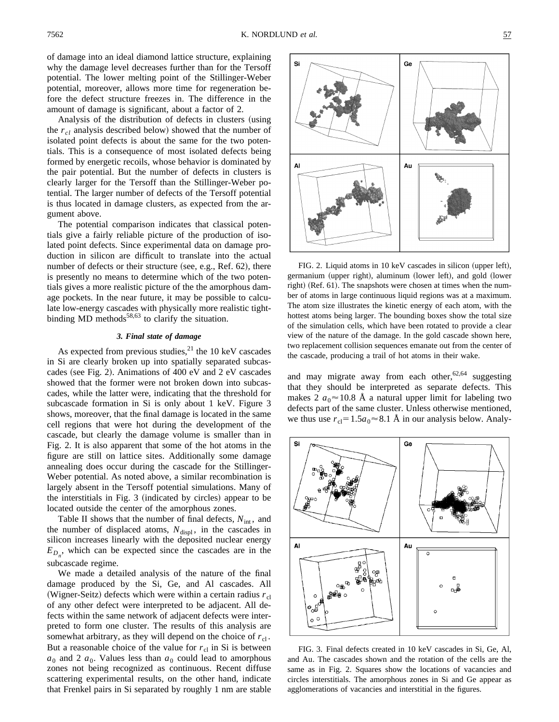of damage into an ideal diamond lattice structure, explaining why the damage level decreases further than for the Tersoff potential. The lower melting point of the Stillinger-Weber potential, moreover, allows more time for regeneration before the defect structure freezes in. The difference in the amount of damage is significant, about a factor of 2.

Analysis of the distribution of defects in clusters (using the  $r_{cl}$  analysis described below) showed that the number of isolated point defects is about the same for the two potentials. This is a consequence of most isolated defects being formed by energetic recoils, whose behavior is dominated by the pair potential. But the number of defects in clusters is clearly larger for the Tersoff than the Stillinger-Weber potential. The larger number of defects of the Tersoff potential is thus located in damage clusters, as expected from the argument above.

The potential comparison indicates that classical potentials give a fairly reliable picture of the production of isolated point defects. Since experimental data on damage production in silicon are difficult to translate into the actual number of defects or their structure (see, e.g., Ref.  $62$ ), there is presently no means to determine which of the two potentials gives a more realistic picture of the the amorphous damage pockets. In the near future, it may be possible to calculate low-energy cascades with physically more realistic tightbinding  $MD$  methods<sup>58,63</sup> to clarify the situation.

## *3. Final state of damage*

As expected from previous studies, $^{21}$  the 10 keV cascades in Si are clearly broken up into spatially separated subcascades (see Fig. 2). Animations of  $400 \text{ eV}$  and 2 eV cascades showed that the former were not broken down into subcascades, while the latter were, indicating that the threshold for subcascade formation in Si is only about 1 keV. Figure 3 shows, moreover, that the final damage is located in the same cell regions that were hot during the development of the cascade, but clearly the damage volume is smaller than in Fig. 2. It is also apparent that some of the hot atoms in the figure are still on lattice sites. Additionally some damage annealing does occur during the cascade for the Stillinger-Weber potential. As noted above, a similar recombination is largely absent in the Tersoff potential simulations. Many of the interstitials in Fig.  $3$  (indicated by circles) appear to be located outside the center of the amorphous zones.

Table II shows that the number of final defects,  $N_{\text{int}}$ , and the number of displaced atoms,  $N_{\text{displ}}$ , in the cascades in silicon increases linearly with the deposited nuclear energy  $E_{D_n}$ , which can be expected since the cascades are in the subcascade regime.

We made a detailed analysis of the nature of the final damage produced by the Si, Ge, and Al cascades. All (Wigner-Seitz) defects which were within a certain radius  $r_{\rm cl}$ of any other defect were interpreted to be adjacent. All defects within the same network of adjacent defects were interpreted to form one cluster. The results of this analysis are somewhat arbitrary, as they will depend on the choice of  $r_{\rm cl}$ . But a reasonable choice of the value for  $r_{\rm cl}$  in Si is between  $a_0$  and 2  $a_0$ . Values less than  $a_0$  could lead to amorphous zones not being recognized as continuous. Recent diffuse scattering experimental results, on the other hand, indicate that Frenkel pairs in Si separated by roughly 1 nm are stable



FIG. 2. Liquid atoms in 10 keV cascades in silicon (upper left), germanium (upper right), aluminum (lower left), and gold (lower right) (Ref. 61). The snapshots were chosen at times when the number of atoms in large continuous liquid regions was at a maximum. The atom size illustrates the kinetic energy of each atom, with the hottest atoms being larger. The bounding boxes show the total size of the simulation cells, which have been rotated to provide a clear view of the nature of the damage. In the gold cascade shown here, two replacement collision sequences emanate out from the center of the cascade, producing a trail of hot atoms in their wake.

and may migrate away from each other,  $62,64$  suggesting that they should be interpreted as separate defects. This makes 2  $a_0 \approx 10.8$  Å a natural upper limit for labeling two defects part of the same cluster. Unless otherwise mentioned, we thus use  $r_{\text{cl}} = 1.5a_0 \approx 8.1$  Å in our analysis below. Analy-



FIG. 3. Final defects created in 10 keV cascades in Si, Ge, Al, and Au. The cascades shown and the rotation of the cells are the same as in Fig. 2. Squares show the locations of vacancies and circles interstitials. The amorphous zones in Si and Ge appear as agglomerations of vacancies and interstitial in the figures.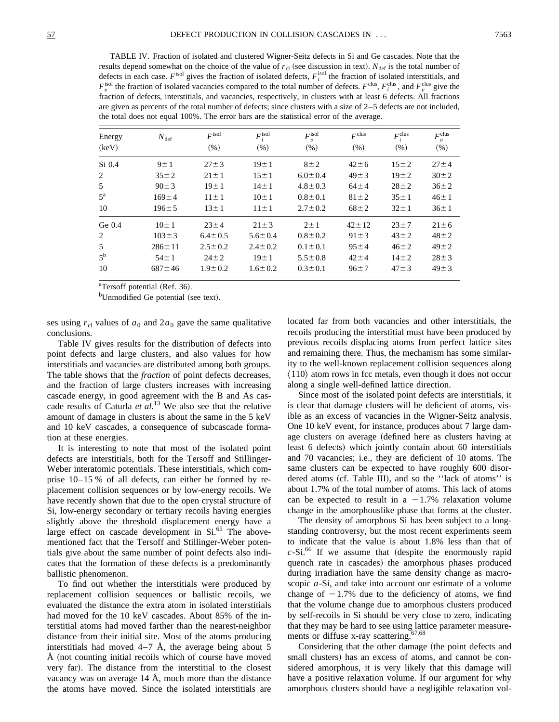TABLE IV. Fraction of isolated and clustered Wigner-Seitz defects in Si and Ge cascades. Note that the results depend somewhat on the choice of the value of  $r_{\text{cl}}$  (see discussion in text).  $N_{\text{def}}$  is the total number of defects in each case.  $F^{\text{isol}}$  gives the fraction of isolated defects,  $F_i^{\text{isol}}$  the fraction of isolated interstitials, and  $F_v^{\text{isol}}$  the fraction of isolated vacancies compared to the total number of defects.  $F_{i}^{\text{clus}}$ ,  $F_i^{\text{clus}}$ , and  $F_v^{\text{clus}}$  give the fraction of defects, interstitials, and vacancies, respectively, in clusters with at least 6 defects. All fractions are given as percents of the total number of defects; since clusters with a size of 2–5 defects are not included, the total does not equal 100%. The error bars are the statistical error of the average.

| Energy      | $N_{\text{def}}$ | $F^{\rm isol}$ | $F_i^{\rm isol}$ | $F_v^{\rm isol}$ | $F^{\text{clus}}$ | $F_i^{\text{clus}}$ | $F_v^{\text{clus}}$ |
|-------------|------------------|----------------|------------------|------------------|-------------------|---------------------|---------------------|
| (keV)       |                  | (% )           | (% )             | (% )             | (% )              | (% )                | (% )                |
| $Si$ 0.4    | $9 \pm 1$        | $27 \pm 3$     | $19 \pm 1$       | $8\pm2$          | $42 \pm 6$        | $15 \pm 2$          | $27 \pm 4$          |
| 2           | $35 \pm 2$       | $21 \pm 1$     | $15 \pm 1$       | $6.0 \pm 0.4$    | $49 \pm 3$        | $19\pm 2$           | $30 \pm 2$          |
| 5           | $90 \pm 3$       | $19 \pm 1$     | $14 \pm 1$       | $4.8 \pm 0.3$    | $64 \pm 4$        | $28 \pm 2$          | $36 \pm 2$          |
| $5^{\rm a}$ | $169 \pm 4$      | $11 \pm 1$     | $10 \pm 1$       | $0.8 \pm 0.1$    | $81 \pm 2$        | $35 \pm 1$          | $46 \pm 1$          |
| 10          | $196 \pm 5$      | $13 \pm 1$     | $11 \pm 1$       | $2.7 \pm 0.2$    | $68 \pm 2$        | $32 \pm 1$          | $36 \pm 1$          |
| Ge 0.4      | $10 \pm 1$       | $23 \pm 4$     | $21 \pm 3$       | $2 \pm 1$        | $42 \pm 12$       | $23 \pm 7$          | $21 \pm 6$          |
| 2           | $103 \pm 3$      | $6.4 \pm 0.5$  | $5.6 \pm 0.4$    | $0.8 \pm 0.2$    | $91 \pm 3$        | $43 \pm 2$          | $48 \pm 2$          |
| 5           | $286 \pm 11$     | $2.5 \pm 0.2$  | $2.4 \pm 0.2$    | $0.1 \pm 0.1$    | $95 \pm 4$        | $46 \pm 2$          | $49 \pm 2$          |
| $5^{\rm b}$ | $54 \pm 1$       | $24 \pm 2$     | $19 \pm 1$       | $5.5 \pm 0.8$    | $42 \pm 4$        | $14\pm 2$           | $28 \pm 3$          |
| 10          | $687 \pm 46$     | $1.9 \pm 0.2$  | $1.6 \pm 0.2$    | $0.3 \pm 0.1$    | $96 \pm 7$        | $47 \pm 3$          | $49 \pm 3$          |

<sup>a</sup>Tersoff potential (Ref. 36).

<sup>b</sup>Unmodified Ge potential (see text).

ses using  $r_{\rm cl}$  values of  $a_0$  and  $2a_0$  gave the same qualitative conclusions.

Table IV gives results for the distribution of defects into point defects and large clusters, and also values for how interstitials and vacancies are distributed among both groups. The table shows that the *fraction* of point defects decreases, and the fraction of large clusters increases with increasing cascade energy, in good agreement with the B and As cascade results of Caturla *et al.*<sup>13</sup> We also see that the relative amount of damage in clusters is about the same in the 5 keV and 10 keV cascades, a consequence of subcascade formation at these energies.

It is interesting to note that most of the isolated point defects are interstitials, both for the Tersoff and Stillinger-Weber interatomic potentials. These interstitials, which comprise 10–15 % of all defects, can either be formed by replacement collision sequences or by low-energy recoils. We have recently shown that due to the open crystal structure of Si, low-energy secondary or tertiary recoils having energies slightly above the threshold displacement energy have a large effect on cascade development in  $Si.<sup>65</sup>$  The abovementioned fact that the Tersoff and Stillinger-Weber potentials give about the same number of point defects also indicates that the formation of these defects is a predominantly ballistic phenomenon.

To find out whether the interstitials were produced by replacement collision sequences or ballistic recoils, we evaluated the distance the extra atom in isolated interstitials had moved for the 10 keV cascades. About 85% of the interstitial atoms had moved farther than the nearest-neighbor distance from their initial site. Most of the atoms producing interstitials had moved  $4-7$  Å, the average being about 5  $\AA$  (not counting initial recoils which of course have moved very far). The distance from the interstitial to the closest vacancy was on average 14 Å, much more than the distance the atoms have moved. Since the isolated interstitials are located far from both vacancies and other interstitials, the recoils producing the interstitial must have been produced by previous recoils displacing atoms from perfect lattice sites and remaining there. Thus, the mechanism has some similarity to the well-known replacement collision sequences along  $\langle 110 \rangle$  atom rows in fcc metals, even though it does not occur along a single well-defined lattice direction.

Since most of the isolated point defects are interstitials, it is clear that damage clusters will be deficient of atoms, visible as an excess of vacancies in the Wigner-Seitz analysis. One 10 keV event, for instance, produces about 7 large damage clusters on average (defined here as clusters having at least 6 defects) which jointly contain about 60 interstitials and 70 vacancies; i.e., they are deficient of 10 atoms. The same clusters can be expected to have roughly 600 disordered atoms (cf. Table III), and so the "lack of atoms" is about 1.7% of the total number of atoms. This lack of atoms can be expected to result in a  $-1.7\%$  relaxation volume change in the amorphouslike phase that forms at the cluster.

The density of amorphous Si has been subject to a longstanding controversy, but the most recent experiments seem to indicate that the value is about 1.8% less than that of  $c$ -Si.<sup>66</sup> If we assume that (despite the enormously rapid quench rate in cascades) the amorphous phases produced during irradiation have the same density change as macroscopic *a*-Si, and take into account our estimate of a volume change of  $-1.7\%$  due to the deficiency of atoms, we find that the volume change due to amorphous clusters produced by self-recoils in Si should be very close to zero, indicating that they may be hard to see using lattice parameter measurements or diffuse x-ray scattering. $67,68$ 

Considering that the other damage (the point defects and small clusters) has an excess of atoms, and cannot be considered amorphous, it is very likely that this damage will have a positive relaxation volume. If our argument for why amorphous clusters should have a negligible relaxation vol-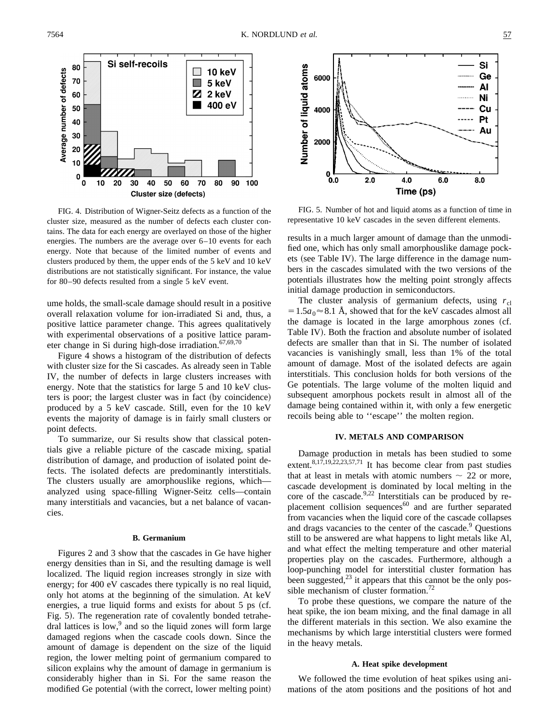

FIG. 4. Distribution of Wigner-Seitz defects as a function of the cluster size, measured as the number of defects each cluster contains. The data for each energy are overlayed on those of the higher energies. The numbers are the average over 6–10 events for each energy. Note that because of the limited number of events and clusters produced by them, the upper ends of the 5 keV and 10 keV distributions are not statistically significant. For instance, the value for 80–90 defects resulted from a single 5 keV event.

ume holds, the small-scale damage should result in a positive overall relaxation volume for ion-irradiated Si and, thus, a positive lattice parameter change. This agrees qualitatively with experimental observations of a positive lattice parameter change in Si during high-dose irradiation. $67,69,70$ 

Figure 4 shows a histogram of the distribution of defects with cluster size for the Si cascades. As already seen in Table IV, the number of defects in large clusters increases with energy. Note that the statistics for large 5 and 10 keV clusters is poor; the largest cluster was in fact (by coincidence) produced by a 5 keV cascade. Still, even for the 10 keV events the majority of damage is in fairly small clusters or point defects.

To summarize, our Si results show that classical potentials give a reliable picture of the cascade mixing, spatial distribution of damage, and production of isolated point defects. The isolated defects are predominantly interstitials. The clusters usually are amorphouslike regions, which analyzed using space-filling Wigner-Seitz cells—contain many interstitials and vacancies, but a net balance of vacancies.

#### **B. Germanium**

Figures 2 and 3 show that the cascades in Ge have higher energy densities than in Si, and the resulting damage is well localized. The liquid region increases strongly in size with energy; for 400 eV cascades there typically is no real liquid, only hot atoms at the beginning of the simulation. At keV energies, a true liquid forms and exists for about  $5$  ps (cf. Fig. 5). The regeneration rate of covalently bonded tetrahedral lattices is low, $9$  and so the liquid zones will form large damaged regions when the cascade cools down. Since the amount of damage is dependent on the size of the liquid region, the lower melting point of germanium compared to silicon explains why the amount of damage in germanium is considerably higher than in Si. For the same reason the modified Ge potential (with the correct, lower melting point)



FIG. 5. Number of hot and liquid atoms as a function of time in representative 10 keV cascades in the seven different elements.

results in a much larger amount of damage than the unmodified one, which has only small amorphouslike damage pockets (see Table IV). The large difference in the damage numbers in the cascades simulated with the two versions of the potentials illustrates how the melting point strongly affects initial damage production in semiconductors.

The cluster analysis of germanium defects, using  $r_{\rm cl}$  $=1.5a_0 \approx 8.1$  Å, showed that for the keV cascades almost all the damage is located in the large amorphous zones (cf. Table IV). Both the fraction and absolute number of isolated defects are smaller than that in Si. The number of isolated vacancies is vanishingly small, less than 1% of the total amount of damage. Most of the isolated defects are again interstitials. This conclusion holds for both versions of the Ge potentials. The large volume of the molten liquid and subsequent amorphous pockets result in almost all of the damage being contained within it, with only a few energetic recoils being able to ''escape'' the molten region.

# **IV. METALS AND COMPARISON**

Damage production in metals has been studied to some extent.<sup>8,17,19,22,23,57,71</sup> It has become clear from past studies that at least in metals with atomic numbers  $\sim$  22 or more, cascade development is dominated by local melting in the core of the cascade. $9,22$  Interstitials can be produced by replacement collision sequences $60$  and are further separated from vacancies when the liquid core of the cascade collapses and drags vacancies to the center of the cascade.<sup>9</sup> Questions still to be answered are what happens to light metals like Al, and what effect the melting temperature and other material properties play on the cascades. Furthermore, although a loop-punching model for interstitial cluster formation has been suggested, $^{23}$  it appears that this cannot be the only possible mechanism of cluster formation.<sup>72</sup>

To probe these questions, we compare the nature of the heat spike, the ion beam mixing, and the final damage in all the different materials in this section. We also examine the mechanisms by which large interstitial clusters were formed in the heavy metals.

### **A. Heat spike development**

We followed the time evolution of heat spikes using animations of the atom positions and the positions of hot and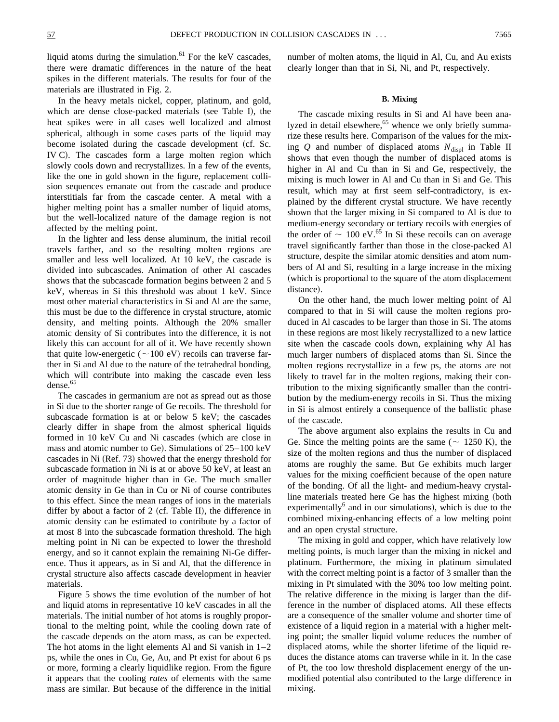liquid atoms during the simulation. $^{61}$  For the keV cascades, there were dramatic differences in the nature of the heat spikes in the different materials. The results for four of the materials are illustrated in Fig. 2.

In the heavy metals nickel, copper, platinum, and gold, which are dense close-packed materials (see Table I), the heat spikes were in all cases well localized and almost spherical, although in some cases parts of the liquid may become isolated during the cascade development (cf. Sc. IV C). The cascades form a large molten region which slowly cools down and recrystallizes. In a few of the events, like the one in gold shown in the figure, replacement collision sequences emanate out from the cascade and produce interstitials far from the cascade center. A metal with a higher melting point has a smaller number of liquid atoms, but the well-localized nature of the damage region is not affected by the melting point.

In the lighter and less dense aluminum, the initial recoil travels farther, and so the resulting molten regions are smaller and less well localized. At 10 keV, the cascade is divided into subcascades. Animation of other Al cascades shows that the subcascade formation begins between 2 and 5 keV, whereas in Si this threshold was about 1 keV. Since most other material characteristics in Si and Al are the same, this must be due to the difference in crystal structure, atomic density, and melting points. Although the 20% smaller atomic density of Si contributes into the difference, it is not likely this can account for all of it. We have recently shown that quite low-energetic ( $\sim$ 100 eV) recoils can traverse farther in Si and Al due to the nature of the tetrahedral bonding, which will contribute into making the cascade even less dense.<sup>65</sup>

The cascades in germanium are not as spread out as those in Si due to the shorter range of Ge recoils. The threshold for subcascade formation is at or below 5 keV; the cascades clearly differ in shape from the almost spherical liquids formed in 10 keV Cu and Ni cascades (which are close in mass and atomic number to Ge). Simulations of  $25-100 \text{ keV}$ cascades in Ni (Ref. 73) showed that the energy threshold for subcascade formation in Ni is at or above 50 keV, at least an order of magnitude higher than in Ge. The much smaller atomic density in Ge than in Cu or Ni of course contributes to this effect. Since the mean ranges of ions in the materials differ by about a factor of 2 (cf. Table II), the difference in atomic density can be estimated to contribute by a factor of at most 8 into the subcascade formation threshold. The high melting point in Ni can be expected to lower the threshold energy, and so it cannot explain the remaining Ni-Ge difference. Thus it appears, as in Si and Al, that the difference in crystal structure also affects cascade development in heavier materials.

Figure 5 shows the time evolution of the number of hot and liquid atoms in representative 10 keV cascades in all the materials. The initial number of hot atoms is roughly proportional to the melting point, while the cooling down rate of the cascade depends on the atom mass, as can be expected. The hot atoms in the light elements Al and Si vanish in  $1-2$ ps, while the ones in Cu, Ge, Au, and Pt exist for about 6 ps or more, forming a clearly liquidlike region. From the figure it appears that the cooling *rates* of elements with the same mass are similar. But because of the difference in the initial number of molten atoms, the liquid in Al, Cu, and Au exists clearly longer than that in Si, Ni, and Pt, respectively.

# **B. Mixing**

The cascade mixing results in Si and Al have been analyzed in detail elsewhere,<sup>65</sup> whence we only briefly summarize these results here. Comparison of the values for the mixing  $Q$  and number of displaced atoms  $N_{\text{displ}}$  in Table II shows that even though the number of displaced atoms is higher in Al and Cu than in Si and Ge, respectively, the mixing is much lower in Al and Cu than in Si and Ge. This result, which may at first seem self-contradictory, is explained by the different crystal structure. We have recently shown that the larger mixing in Si compared to Al is due to medium-energy secondary or tertiary recoils with energies of the order of  $\sim 100 \text{ eV}^{.65}$  In Si these recoils can on average travel significantly farther than those in the close-packed Al structure, despite the similar atomic densities and atom numbers of Al and Si, resulting in a large increase in the mixing (which is proportional to the square of the atom displacement distance).

On the other hand, the much lower melting point of Al compared to that in Si will cause the molten regions produced in Al cascades to be larger than those in Si. The atoms in these regions are most likely recrystallized to a new lattice site when the cascade cools down, explaining why Al has much larger numbers of displaced atoms than Si. Since the molten regions recrystallize in a few ps, the atoms are not likely to travel far in the molten regions, making their contribution to the mixing significantly smaller than the contribution by the medium-energy recoils in Si. Thus the mixing in Si is almost entirely a consequence of the ballistic phase of the cascade.

The above argument also explains the results in Cu and Ge. Since the melting points are the same ( $\sim 1250 \text{ K}$ ), the size of the molten regions and thus the number of displaced atoms are roughly the same. But Ge exhibits much larger values for the mixing coefficient because of the open nature of the bonding. Of all the light- and medium-heavy crystalline materials treated here Ge has the highest mixing (both experimentally $<sup>6</sup>$  and in our simulations), which is due to the</sup> combined mixing-enhancing effects of a low melting point and an open crystal structure.

The mixing in gold and copper, which have relatively low melting points, is much larger than the mixing in nickel and platinum. Furthermore, the mixing in platinum simulated with the correct melting point is a factor of 3 smaller than the mixing in Pt simulated with the 30% too low melting point. The relative difference in the mixing is larger than the difference in the number of displaced atoms. All these effects are a consequence of the smaller volume and shorter time of existence of a liquid region in a material with a higher melting point; the smaller liquid volume reduces the number of displaced atoms, while the shorter lifetime of the liquid reduces the distance atoms can traverse while in it. In the case of Pt, the too low threshold displacement energy of the unmodified potential also contributed to the large difference in mixing.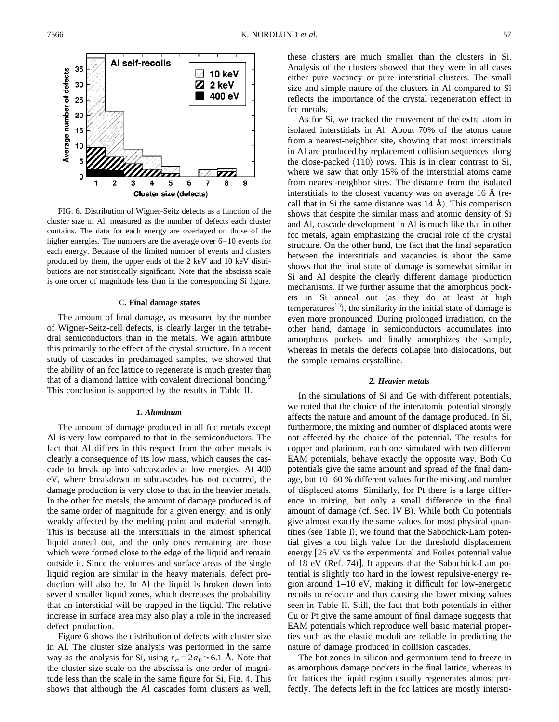

FIG. 6. Distribution of Wigner-Seitz defects as a function of the cluster size in Al, measured as the number of defects each cluster contains. The data for each energy are overlayed on those of the higher energies. The numbers are the average over  $6-10$  events for each energy. Because of the limited number of events and clusters produced by them, the upper ends of the 2 keV and 10 keV distributions are not statistically significant. Note that the abscissa scale is one order of magnitude less than in the corresponding Si figure.

### **C. Final damage states**

The amount of final damage, as measured by the number of Wigner-Seitz-cell defects, is clearly larger in the tetrahedral semiconductors than in the metals. We again attribute this primarily to the effect of the crystal structure. In a recent study of cascades in predamaged samples, we showed that the ability of an fcc lattice to regenerate is much greater than that of a diamond lattice with covalent directional bonding.<sup>9</sup> This conclusion is supported by the results in Table II.

#### *1. Aluminum*

The amount of damage produced in all fcc metals except Al is very low compared to that in the semiconductors. The fact that Al differs in this respect from the other metals is clearly a consequence of its low mass, which causes the cascade to break up into subcascades at low energies. At 400 eV, where breakdown in subcascades has not occurred, the damage production is very close to that in the heavier metals. In the other fcc metals, the amount of damage produced is of the same order of magnitude for a given energy, and is only weakly affected by the melting point and material strength. This is because all the interstitials in the almost spherical liquid anneal out, and the only ones remaining are those which were formed close to the edge of the liquid and remain outside it. Since the volumes and surface areas of the single liquid region are similar in the heavy materials, defect production will also be. In Al the liquid is broken down into several smaller liquid zones, which decreases the probability that an interstitial will be trapped in the liquid. The relative increase in surface area may also play a role in the increased defect production.

Figure 6 shows the distribution of defects with cluster size in Al. The cluster size analysis was performed in the same way as the analysis for Si, using  $r_{cl} = 2a_0 \approx 6.1$  Å. Note that the cluster size scale on the abscissa is one order of magnitude less than the scale in the same figure for Si, Fig. 4. This shows that although the Al cascades form clusters as well, these clusters are much smaller than the clusters in Si. Analysis of the clusters showed that they were in all cases either pure vacancy or pure interstitial clusters. The small size and simple nature of the clusters in Al compared to Si reflects the importance of the crystal regeneration effect in fcc metals.

As for Si, we tracked the movement of the extra atom in isolated interstitials in Al. About 70% of the atoms came from a nearest-neighbor site, showing that most interstitials in Al are produced by replacement collision sequences along the close-packed  $\langle 110 \rangle$  rows. This is in clear contrast to Si, where we saw that only 15% of the interstitial atoms came from nearest-neighbor sites. The distance from the isolated interstitials to the closest vacancy was on average 16  $\AA$  (recall that in Si the same distance was  $14 \text{ Å}$ ). This comparison shows that despite the similar mass and atomic density of Si and Al, cascade development in Al is much like that in other fcc metals, again emphasizing the crucial role of the crystal structure. On the other hand, the fact that the final separation between the interstitials and vacancies is about the same shows that the final state of damage is somewhat similar in Si and Al despite the clearly different damage production mechanisms. If we further assume that the amorphous pockets in Si anneal out (as they do at least at high temperatures<sup>13</sup>), the similarity in the initial state of damage is even more pronounced. During prolonged irradiation, on the other hand, damage in semiconductors accumulates into amorphous pockets and finally amorphizes the sample, whereas in metals the defects collapse into dislocations, but the sample remains crystalline.

## *2. Heavier metals*

In the simulations of Si and Ge with different potentials, we noted that the choice of the interatomic potential strongly affects the nature and amount of the damage produced. In Si, furthermore, the mixing and number of displaced atoms were not affected by the choice of the potential. The results for copper and platinum, each one simulated with two different EAM potentials, behave exactly the opposite way. Both Cu potentials give the same amount and spread of the final damage, but 10–60 % different values for the mixing and number of displaced atoms. Similarly, for Pt there is a large difference in mixing, but only a small difference in the final amount of damage (cf. Sec. IV B). While both Cu potentials give almost exactly the same values for most physical quantities (see Table I), we found that the Sabochick-Lam potential gives a too high value for the threshold displacement energy  $[25 \text{ eV}$  vs the experimental and Foiles potential value of 18 eV (Ref. 74)]. It appears that the Sabochick-Lam potential is slightly too hard in the lowest repulsive-energy region around 1–10 eV, making it difficult for low-energetic recoils to relocate and thus causing the lower mixing values seen in Table II. Still, the fact that both potentials in either Cu or Pt give the same amount of final damage suggests that EAM potentials which reproduce well basic material properties such as the elastic moduli are reliable in predicting the nature of damage produced in collision cascades.

The hot zones in silicon and germanium tend to freeze in as amorphous damage pockets in the final lattice, whereas in fcc lattices the liquid region usually regenerates almost perfectly. The defects left in the fcc lattices are mostly intersti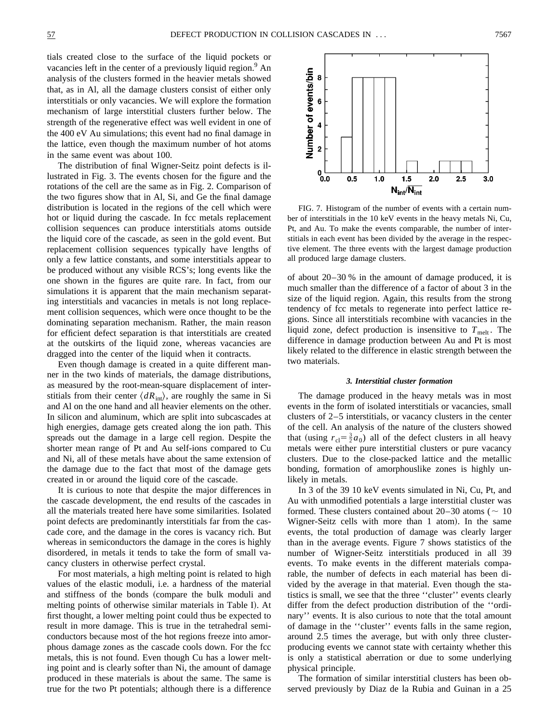tials created close to the surface of the liquid pockets or vacancies left in the center of a previously liquid region.<sup>9</sup> An analysis of the clusters formed in the heavier metals showed that, as in Al, all the damage clusters consist of either only interstitials or only vacancies. We will explore the formation mechanism of large interstitial clusters further below. The strength of the regenerative effect was well evident in one of the 400 eV Au simulations; this event had no final damage in the lattice, even though the maximum number of hot atoms in the same event was about 100.

The distribution of final Wigner-Seitz point defects is illustrated in Fig. 3. The events chosen for the figure and the rotations of the cell are the same as in Fig. 2. Comparison of the two figures show that in Al, Si, and Ge the final damage distribution is located in the regions of the cell which were hot or liquid during the cascade. In fcc metals replacement collision sequences can produce interstitials atoms outside the liquid core of the cascade, as seen in the gold event. But replacement collision sequences typically have lengths of only a few lattice constants, and some interstitials appear to be produced without any visible RCS's; long events like the one shown in the figures are quite rare. In fact, from our simulations it is apparent that the main mechanism separating interstitials and vacancies in metals is not long replacement collision sequences, which were once thought to be the dominating separation mechanism. Rather, the main reason for efficient defect separation is that interstitials are created at the outskirts of the liquid zone, whereas vacancies are dragged into the center of the liquid when it contracts.

Even though damage is created in a quite different manner in the two kinds of materials, the damage distributions, as measured by the root-mean-square displacement of interstitials from their center  $\langle dR_{\text{int}} \rangle$ , are roughly the same in Si and Al on the one hand and all heavier elements on the other. In silicon and aluminum, which are split into subcascades at high energies, damage gets created along the ion path. This spreads out the damage in a large cell region. Despite the shorter mean range of Pt and Au self-ions compared to Cu and Ni, all of these metals have about the same extension of the damage due to the fact that most of the damage gets created in or around the liquid core of the cascade.

It is curious to note that despite the major differences in the cascade development, the end results of the cascades in all the materials treated here have some similarities. Isolated point defects are predominantly interstitials far from the cascade core, and the damage in the cores is vacancy rich. But whereas in semiconductors the damage in the cores is highly disordered, in metals it tends to take the form of small vacancy clusters in otherwise perfect crystal.

For most materials, a high melting point is related to high values of the elastic moduli, i.e. a hardness of the material and stiffness of the bonds (compare the bulk moduli and melting points of otherwise similar materials in Table I). At first thought, a lower melting point could thus be expected to result in more damage. This is true in the tetrahedral semiconductors because most of the hot regions freeze into amorphous damage zones as the cascade cools down. For the fcc metals, this is not found. Even though Cu has a lower melting point and is clearly softer than Ni, the amount of damage produced in these materials is about the same. The same is true for the two Pt potentials; although there is a difference



FIG. 7. Histogram of the number of events with a certain number of interstitials in the 10 keV events in the heavy metals Ni, Cu, Pt, and Au. To make the events comparable, the number of interstitials in each event has been divided by the average in the respective element. The three events with the largest damage production all produced large damage clusters.

of about 20–30 % in the amount of damage produced, it is much smaller than the difference of a factor of about 3 in the size of the liquid region. Again, this results from the strong tendency of fcc metals to regenerate into perfect lattice regions. Since all interstitials recombine with vacancies in the liquid zone, defect production is insensitive to  $T_{\text{melt}}$ . The difference in damage production between Au and Pt is most likely related to the difference in elastic strength between the two materials.

### *3. Interstitial cluster formation*

The damage produced in the heavy metals was in most events in the form of isolated interstitials or vacancies, small clusters of 2–5 interstitials, or vacancy clusters in the center of the cell. An analysis of the nature of the clusters showed that (using  $r_{\text{cl}} = \frac{3}{2}a_0$ ) all of the defect clusters in all heavy metals were either pure interstitial clusters or pure vacancy clusters. Due to the close-packed lattice and the metallic bonding, formation of amorphouslike zones is highly unlikely in metals.

In 3 of the 39 10 keV events simulated in Ni, Cu, Pt, and Au with unmodified potentials a large interstitial cluster was formed. These clusters contained about  $20-30$  atoms ( $\sim 10$ Wigner-Seitz cells with more than 1 atom). In the same events, the total production of damage was clearly larger than in the average events. Figure 7 shows statistics of the number of Wigner-Seitz interstitials produced in all 39 events. To make events in the different materials comparable, the number of defects in each material has been divided by the average in that material. Even though the statistics is small, we see that the three ''cluster'' events clearly differ from the defect production distribution of the ''ordinary'' events. It is also curious to note that the total amount of damage in the ''cluster'' events falls in the same region, around 2.5 times the average, but with only three clusterproducing events we cannot state with certainty whether this is only a statistical aberration or due to some underlying physical principle.

The formation of similar interstitial clusters has been observed previously by Diaz de la Rubia and Guinan in a 25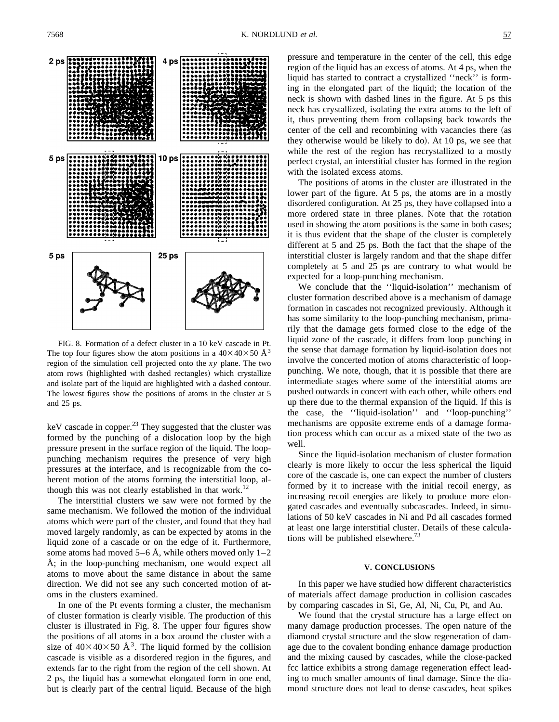

FIG. 8. Formation of a defect cluster in a 10 keV cascade in Pt. The top four figures show the atom positions in a  $40\times40\times50$  Å<sup>3</sup> region of the simulation cell projected onto the *xy* plane. The two atom rows (highlighted with dashed rectangles) which crystallize and isolate part of the liquid are highlighted with a dashed contour. The lowest figures show the positions of atoms in the cluster at 5 and 25 ps.

keV cascade in copper.<sup>23</sup> They suggested that the cluster was formed by the punching of a dislocation loop by the high pressure present in the surface region of the liquid. The looppunching mechanism requires the presence of very high pressures at the interface, and is recognizable from the coherent motion of the atoms forming the interstitial loop, although this was not clearly established in that work.<sup>12</sup>

The interstitial clusters we saw were not formed by the same mechanism. We followed the motion of the individual atoms which were part of the cluster, and found that they had moved largely randomly, as can be expected by atoms in the liquid zone of a cascade or on the edge of it. Furthermore, some atoms had moved  $5-6$  Å, while others moved only  $1-2$ Å; in the loop-punching mechanism, one would expect all atoms to move about the same distance in about the same direction. We did not see any such concerted motion of atoms in the clusters examined.

In one of the Pt events forming a cluster, the mechanism of cluster formation is clearly visible. The production of this cluster is illustrated in Fig. 8. The upper four figures show the positions of all atoms in a box around the cluster with a size of  $40\times40\times50$  Å<sup>3</sup>. The liquid formed by the collision cascade is visible as a disordered region in the figures, and extends far to the right from the region of the cell shown. At 2 ps, the liquid has a somewhat elongated form in one end, but is clearly part of the central liquid. Because of the high

pressure and temperature in the center of the cell, this edge region of the liquid has an excess of atoms. At 4 ps, when the liquid has started to contract a crystallized ''neck'' is forming in the elongated part of the liquid; the location of the neck is shown with dashed lines in the figure. At 5 ps this neck has crystallized, isolating the extra atoms to the left of it, thus preventing them from collapsing back towards the center of the cell and recombining with vacancies there (as they otherwise would be likely to do). At 10 ps, we see that while the rest of the region has recrystallized to a mostly perfect crystal, an interstitial cluster has formed in the region with the isolated excess atoms.

The positions of atoms in the cluster are illustrated in the lower part of the figure. At 5 ps, the atoms are in a mostly disordered configuration. At 25 ps, they have collapsed into a more ordered state in three planes. Note that the rotation used in showing the atom positions is the same in both cases; it is thus evident that the shape of the cluster is completely different at 5 and 25 ps. Both the fact that the shape of the interstitial cluster is largely random and that the shape differ completely at 5 and 25 ps are contrary to what would be expected for a loop-punching mechanism.

We conclude that the ''liquid-isolation'' mechanism of cluster formation described above is a mechanism of damage formation in cascades not recognized previously. Although it has some similarity to the loop-punching mechanism, primarily that the damage gets formed close to the edge of the liquid zone of the cascade, it differs from loop punching in the sense that damage formation by liquid-isolation does not involve the concerted motion of atoms characteristic of looppunching. We note, though, that it is possible that there are intermediate stages where some of the interstitial atoms are pushed outwards in concert with each other, while others end up there due to the thermal expansion of the liquid. If this is the case, the ''liquid-isolation'' and ''loop-punching'' mechanisms are opposite extreme ends of a damage formation process which can occur as a mixed state of the two as well.

Since the liquid-isolation mechanism of cluster formation clearly is more likely to occur the less spherical the liquid core of the cascade is, one can expect the number of clusters formed by it to increase with the initial recoil energy, as increasing recoil energies are likely to produce more elongated cascades and eventually subcascades. Indeed, in simulations of 50 keV cascades in Ni and Pd all cascades formed at least one large interstitial cluster. Details of these calculations will be published elsewhere.<sup>73</sup>

### **V. CONCLUSIONS**

In this paper we have studied how different characteristics of materials affect damage production in collision cascades by comparing cascades in Si, Ge, Al, Ni, Cu, Pt, and Au.

We found that the crystal structure has a large effect on many damage production processes. The open nature of the diamond crystal structure and the slow regeneration of damage due to the covalent bonding enhance damage production and the mixing caused by cascades, while the close-packed fcc lattice exhibits a strong damage regeneration effect leading to much smaller amounts of final damage. Since the diamond structure does not lead to dense cascades, heat spikes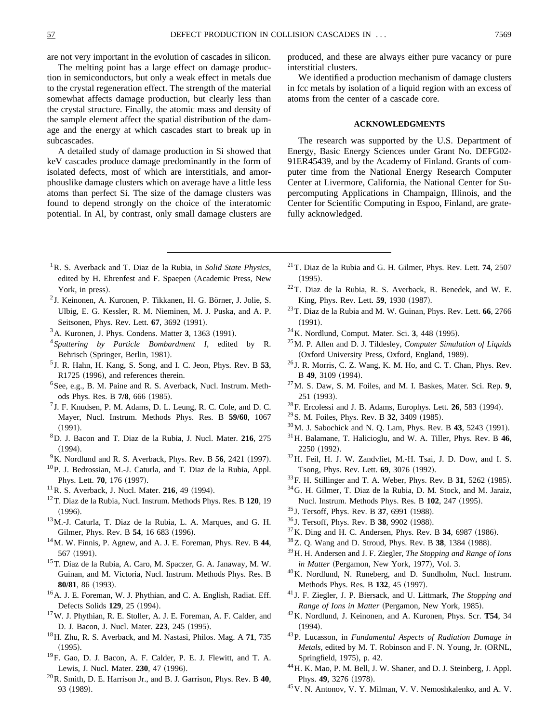are not very important in the evolution of cascades in silicon.

The melting point has a large effect on damage production in semiconductors, but only a weak effect in metals due to the crystal regeneration effect. The strength of the material somewhat affects damage production, but clearly less than the crystal structure. Finally, the atomic mass and density of the sample element affect the spatial distribution of the damage and the energy at which cascades start to break up in subcascades.

A detailed study of damage production in Si showed that keV cascades produce damage predominantly in the form of isolated defects, most of which are interstitials, and amorphouslike damage clusters which on average have a little less atoms than perfect Si. The size of the damage clusters was found to depend strongly on the choice of the interatomic potential. In Al, by contrast, only small damage clusters are produced, and these are always either pure vacancy or pure interstitial clusters.

We identified a production mechanism of damage clusters in fcc metals by isolation of a liquid region with an excess of atoms from the center of a cascade core.

## **ACKNOWLEDGMENTS**

The research was supported by the U.S. Department of Energy, Basic Energy Sciences under Grant No. DEFG02- 91ER45439, and by the Academy of Finland. Grants of computer time from the National Energy Research Computer Center at Livermore, California, the National Center for Supercomputing Applications in Champaign, Illinois, and the Center for Scientific Computing in Espoo, Finland, are gratefully acknowledged.

- 1R. S. Averback and T. Diaz de la Rubia, in *Solid State Physics*, edited by H. Ehrenfest and F. Spaepen (Academic Press, New York, in press).
- $2$ J. Keinonen, A. Kuronen, P. Tikkanen, H. G. Börner, J. Jolie, S. Ulbig, E. G. Kessler, R. M. Nieminen, M. J. Puska, and A. P. Seitsonen, Phys. Rev. Lett. **67**, 3692 (1991).
- $3^3$ A. Kuronen, J. Phys. Condens. Matter 3, 1363 (1991).
- <sup>4</sup> *Sputtering by Particle Bombardment I*, edited by R. Behrisch (Springer, Berlin, 1981).
- <sup>5</sup> J. R. Hahn, H. Kang, S. Song, and I. C. Jeon, Phys. Rev. B **53**, R1725 (1996), and references therein.
- <sup>6</sup>See, e.g., B. M. Paine and R. S. Averback, Nucl. Instrum. Methods Phys. Res. B 7/8, 666 (1985).
- <sup>7</sup> J. F. Knudsen, P. M. Adams, D. L. Leung, R. C. Cole, and D. C. Mayer, Nucl. Instrum. Methods Phys. Res. B **59/60**, 1067  $(1991).$
- 8D. J. Bacon and T. Diaz de la Rubia, J. Nucl. Mater. **216**, 275  $(1994).$
- $^{9}$ K. Nordlund and R. S. Averback, Phys. Rev. B 56, 2421 (1997).
- $10P$ . J. Bedrossian, M.-J. Caturla, and T. Diaz de la Rubia, Appl. Phys. Lett. **70**, 176 (1997).
- $11$ R. S. Averback, J. Nucl. Mater. 216, 49 (1994).
- 12T. Diaz de la Rubia, Nucl. Instrum. Methods Phys. Res. B **120**, 19  $(1996).$
- 13M.-J. Caturla, T. Diaz de la Rubia, L. A. Marques, and G. H. Gilmer, Phys. Rev. B 54, 16 683 (1996).
- 14M. W. Finnis, P. Agnew, and A. J. E. Foreman, Phys. Rev. B **44**, 567 (1991).
- <sup>15</sup>T. Diaz de la Rubia, A. Caro, M. Spaczer, G. A. Janaway, M. W. Guinan, and M. Victoria, Nucl. Instrum. Methods Phys. Res. B **80/81**, 86 (1993).
- <sup>16</sup> A. J. E. Foreman, W. J. Phythian, and C. A. English, Radiat. Eff. Defects Solids **129**, 25 (1994).
- 17W. J. Phythian, R. E. Stoller, A. J. E. Foreman, A. F. Calder, and D. J. Bacon, J. Nucl. Mater. 223, 245 (1995).
- 18H. Zhu, R. S. Averback, and M. Nastasi, Philos. Mag. A **71**, 735  $(1995).$
- 19F. Gao, D. J. Bacon, A. F. Calder, P. E. J. Flewitt, and T. A. Lewis, J. Nucl. Mater. **230**, 47 (1996).
- 20R. Smith, D. E. Harrison Jr., and B. J. Garrison, Phys. Rev. B **40**, 93 (1989).
- 21T. Diaz de la Rubia and G. H. Gilmer, Phys. Rev. Lett. **74**, 2507  $(1995).$
- 22T. Diaz de la Rubia, R. S. Averback, R. Benedek, and W. E. King, Phys. Rev. Lett. **59**, 1930 (1987).
- 23T. Diaz de la Rubia and M. W. Guinan, Phys. Rev. Lett. **66**, 2766  $(1991).$
- $24$ K. Nordlund, Comput. Mater. Sci. 3, 448 (1995).
- 25M. P. Allen and D. J. Tildesley, *Computer Simulation of Liquids* (Oxford University Press, Oxford, England, 1989).
- <sup>26</sup> J. R. Morris, C. Z. Wang, K. M. Ho, and C. T. Chan, Phys. Rev. B 49, 3109 (1994).
- 27M. S. Daw, S. M. Foiles, and M. I. Baskes, Mater. Sci. Rep. **9**, 251 (1993).
- $^{28}$ F. Ercolessi and J. B. Adams, Europhys. Lett. **26**, 583 (1994).
- <sup>29</sup> S. M. Foiles, Phys. Rev. B **32**, 3409 (1985).
- <sup>30</sup>M. J. Sabochick and N. Q. Lam, Phys. Rev. B **43**, 5243 (1991).
- 31H. Balamane, T. Halicioglu, and W. A. Tiller, Phys. Rev. B **46**,  $2250$   $(1992)$ .
- 32H. Feil, H. J. W. Zandvliet, M.-H. Tsai, J. D. Dow, and I. S. Tsong, Phys. Rev. Lett. **69**, 3076 (1992).
- <sup>33</sup>F. H. Stillinger and T. A. Weber, Phys. Rev. B **31**, 5262 (1985).
- 34G. H. Gilmer, T. Diaz de la Rubia, D. M. Stock, and M. Jaraiz, Nucl. Instrum. Methods Phys. Res. B 102, 247 (1995).
- <sup>35</sup> J. Tersoff, Phys. Rev. B **37**, 6991 (1988).
- <sup>36</sup> J. Tersoff, Phys. Rev. B **38**, 9902 (1988).
- $37$ K. Ding and H. C. Andersen, Phys. Rev. B 34, 6987 (1986).
- <sup>38</sup>Z. Q. Wang and D. Stroud, Phys. Rev. B **38**, 1384 (1988).
- 39H. H. Andersen and J. F. Ziegler, *The Stopping and Range of Ions in Matter* (Pergamon, New York, 1977), Vol. 3.
- 40K. Nordlund, N. Runeberg, and D. Sundholm, Nucl. Instrum. Methods Phys. Res. B 132, 45 (1997).
- <sup>41</sup> J. F. Ziegler, J. P. Biersack, and U. Littmark, *The Stopping and Range of Ions in Matter* (Pergamon, New York, 1985).
- 42K. Nordlund, J. Keinonen, and A. Kuronen, Phys. Scr. **T54**, 34  $(1994).$
- 43P. Lucasson, in *Fundamental Aspects of Radiation Damage in Metals*, edited by M. T. Robinson and F. N. Young, Jr. (ORNL, Springfield, 1975), p. 42.
- 44H. K. Mao, P. M. Bell, J. W. Shaner, and D. J. Steinberg, J. Appl. Phys. 49, 3276 (1978).
- 45V. N. Antonov, V. Y. Milman, V. V. Nemoshkalenko, and A. V.